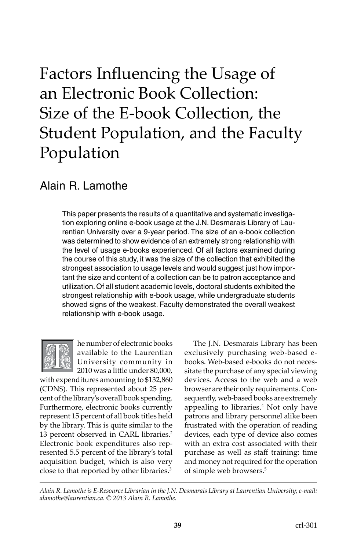# Factors Influencing the Usage of an Electronic Book Collection: Size of the E-book Collection, the Student Population, and the Faculty Population

# Alain R. Lamothe

This paper presents the results of a quantitative and systematic investigation exploring online e-book usage at the J.N. Desmarais Library of Laurentian University over a 9-year period. The size of an e-book collection was determined to show evidence of an extremely strong relationship with the level of usage e-books experienced. Of all factors examined during the course of this study, it was the size of the collection that exhibited the strongest association to usage levels and would suggest just how important the size and content of a collection can be to patron acceptance and utilization. Of all student academic levels, doctoral students exhibited the strongest relationship with e-book usage, while undergraduate students showed signs of the weakest. Faculty demonstrated the overall weakest relationship with e-book usage.



he number of electronic books available to the Laurentian University community in 2010 was a little under 80,000,

with expenditures amounting to \$132,860 (CDN\$). This represented about 25 percent of the library's overall book spending. Furthermore, electronic books currently represent 15 percent of all book titles held by the library. This is quite similar to the 13 percent observed in CARL libraries.<sup>2</sup> Electronic book expenditures also represented 5.5 percent of the library's total acquisition budget, which is also very close to that reported by other libraries.3

The J.N. Desmarais Library has been exclusively purchasing web-based ebooks. Web-based e-books do not necessitate the purchase of any special viewing devices. Access to the web and a web browser are their only requirements. Consequently, web-based books are extremely appealing to libraries.<sup>4</sup> Not only have patrons and library personnel alike been frustrated with the operation of reading devices, each type of device also comes with an extra cost associated with their purchase as well as staff training: time and money not required for the operation of simple web browsers.5

*Alain R. Lamothe is E-Resource Librarian in the J.N. Desmarais Library at Laurentian University; e-mail: alamothe@laurentian.ca. © 2013 Alain R. Lamothe.*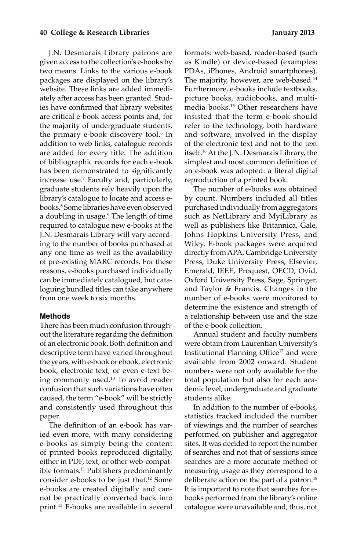J.N. Desmarais Library patrons are given access to the collection's e-books by two means. Links to the various e-book packages are displayed on the library's website. These links are added immediately after access has been granted. Studies have confirmed that library websites are critical e-book access points and, for the majority of undergraduate students, the primary e-book discovery tool.<sup>6</sup> In addition to web links, catalogue records are added for every title. The addition of bibliographic records for each e-book has been demonstrated to significantly increase use.<sup>7</sup> Faculty and, particularly, graduate students rely heavily upon the library's catalogue to locate and access ebooks.8 Some libraries have even observed a doubling in usage.<sup>9</sup> The length of time required to catalogue new e-books at the J.N. Desmarais Library will vary according to the number of books purchased at any one time as well as the availability of pre-existing MARC records. For these reasons, e-books purchased individually can be immediately catalogued, but cataloguing bundled titles can take anywhere from one week to six months.

# **Methods**

There has been much confusion throughout the literature regarding the definition of an electronic book. Both definition and descriptive term have varied throughout the years, with e-book or ebook, electronic book, electronic text, or even e-text being commonly used.<sup>10</sup> To avoid reader confusion that such variations have often caused, the term "e-book" will be strictly and consistently used throughout this paper.

The definition of an e-book has varied even more, with many considering e-books as simply being the content of printed books reproduced digitally, either in PDF, text, or other web-compatible formats.<sup>11</sup> Publishers predominantly consider e-books to be just that.<sup>12</sup> Some e-books are created digitally and cannot be practically converted back into print.13 E-books are available in several

formats: web-based, reader-based (such as Kindle) or device-based (examples: PDAs, iPhones, Android smartphones). The majority, however, are web-based.<sup>14</sup> Furthermore, e-books include textbooks, picture books, audiobooks, and multimedia books.15 Other researchers have insisted that the term e-book should refer to the technology, both hardware and software, involved in the display of the electronic text and not to the text itself.<sup>16</sup> At the J.N. Desmarais Library, the simplest and most common definition of an e-book was adopted: a literal digital reproduction of a printed book.

The number of e-books was obtained by count. Numbers included all titles purchased individually from aggregators such as NetLibrary and MyiLibrary as well as publishers like Britannica, Gale, Johns Hopkins University Press, and Wiley. E-book packages were acquired directly from APA, Cambridge University Press, Duke University Press, Elsevier, Emerald, IEEE, Proquest, OECD, Ovid, Oxford University Press, Sage, Springer, and Taylor & Francis. Changes in the number of e-books were monitored to determine the existence and strength of a relationship between use and the size of the e-book collection.

Annual student and faculty numbers were obtain from Laurentian University's Institutional Planning Office<sup>17</sup> and were available from 2002 onward. Student numbers were not only available for the total population but also for each academic level, undergraduate and graduate students alike.

In addition to the number of e-books, statistics tracked included the number of viewings and the number of searches performed on publisher and aggregator sites. It was decided to report the number of searches and not that of sessions since searches are a more accurate method of measuring usage as they correspond to a deliberate action on the part of a patron.<sup>18</sup> It is important to note that searches for ebooks performed from the library's online catalogue were unavailable and, thus, not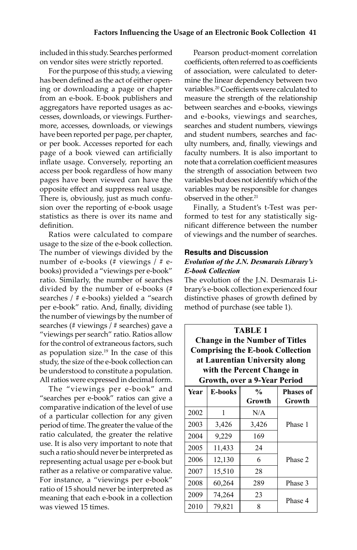included in this study. Searches performed on vendor sites were strictly reported.

For the purpose of this study, a viewing has been defined as the act of either opening or downloading a page or chapter from an e-book. E-book publishers and aggregators have reported usages as accesses, downloads, or viewings. Furthermore, accesses, downloads, or viewings have been reported per page, per chapter, or per book. Accesses reported for each page of a book viewed can artificially inflate usage. Conversely, reporting an access per book regardless of how many pages have been viewed can have the opposite effect and suppress real usage. There is, obviously, just as much confusion over the reporting of e-book usage statistics as there is over its name and definition.

Ratios were calculated to compare usage to the size of the e-book collection. The number of viewings divided by the number of e-books (# viewings / # ebooks) provided a "viewings per e-book" ratio. Similarly, the number of searches divided by the number of e-books (# searches / # e-books) yielded a "search per e-book" ratio. And, finally, dividing the number of viewings by the number of searches (# viewings / # searches) gave a "viewings per search" ratio. Ratios allow for the control of extraneous factors, such as population size. $19$  In the case of this study, the size of the e-book collection can be understood to constitute a population. All ratios were expressed in decimal form.

The "viewings per e-book" and "searches per e-book" ratios can give a comparative indication of the level of use of a particular collection for any given period of time. The greater the value of the ratio calculated, the greater the relative use. It is also very important to note that such a ratio should never be interpreted as representing actual usage per e-book but rather as a relative or comparative value. For instance, a "viewings per e-book" ratio of 15 should never be interpreted as meaning that each e-book in a collection was viewed 15 times.

Pearson product-moment correlation coefficients, often referred to as coefficients of association, were calculated to determine the linear dependency between two variables.<sup>20</sup> Coefficients were calculated to measure the strength of the relationship between searches and e-books, viewings and e-books, viewings and searches, searches and student numbers, viewings and student numbers, searches and faculty numbers, and, finally, viewings and faculty numbers. It is also important to note that a correlation coefficient measures the strength of association between two variables but does not identify which of the variables may be responsible for changes observed in the other.<sup>21</sup>

Finally, a Student's t-Test was performed to test for any statistically significant difference between the number of viewings and the number of searches.

### **Results and Discussion**

# *Evolution of the J.N. Desmarais Library's E-book Collection*

The evolution of the J.N. Desmarais Library's e-book collection experienced four distinctive phases of growth defined by method of purchase (see table 1).

| TARLE 1                                 |  |  |  |  |
|-----------------------------------------|--|--|--|--|
| <b>Change in the Number of Titles</b>   |  |  |  |  |
| <b>Comprising the E-book Collection</b> |  |  |  |  |
| at Laurentian University along          |  |  |  |  |
| with the Percent Change in              |  |  |  |  |
| Growth, over a 9-Year Period            |  |  |  |  |

| Year | E-books | $\frac{0}{0}$ | <b>Phases of</b> |
|------|---------|---------------|------------------|
|      |         | Growth        | Growth           |
| 2002 | 1       | N/A           |                  |
| 2003 | 3,426   | 3,426         | Phase 1          |
| 2004 | 9,229   | 169           |                  |
| 2005 | 11,433  | 24            |                  |
| 2006 | 12,130  | 6             | Phase 2          |
| 2007 | 15,510  | 28            |                  |
| 2008 | 60,264  | 289           | Phase 3          |
| 2009 | 74,264  | 23            | Phase 4          |
| 2010 | 79,821  | 8             |                  |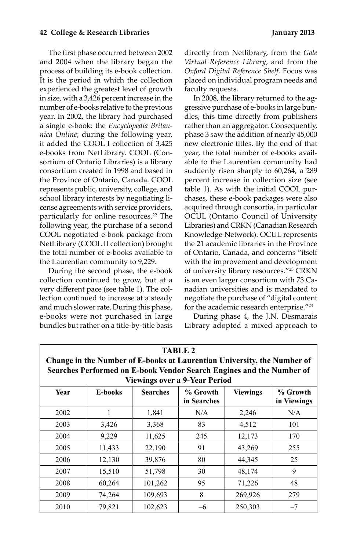The first phase occurred between 2002 and 2004 when the library began the process of building its e-book collection. It is the period in which the collection experienced the greatest level of growth in size, with a 3,426 percent increase in the number of e-books relative to the previous year. In 2002, the library had purchased a single e-book: the *Encyclopedia Britannica Online*; during the following year, it added the COOL I collection of 3,425 e-books from NetLibrary. COOL (Consortium of Ontario Libraries) is a library consortium created in 1998 and based in the Province of Ontario, Canada. COOL represents public, university, college, and school library interests by negotiating license agreements with service providers, particularly for online resources.<sup>22</sup> The following year, the purchase of a second COOL negotiated e-book package from NetLibrary (COOL II collection) brought the total number of e-books available to the Laurentian community to 9,229.

During the second phase, the e-book collection continued to grow, but at a very different pace (see table 1). The collection continued to increase at a steady and much slower rate. During this phase, e-books were not purchased in large bundles but rather on a title-by-title basis

directly from Netlibrary, from the *Gale Virtual Reference Library*, and from the *Oxford Digital Reference Shelf*. Focus was placed on individual program needs and faculty requests.

In 2008, the library returned to the aggressive purchase of e-books in large bundles, this time directly from publishers rather than an aggregator. Consequently, phase 3 saw the addition of nearly 45,000 new electronic titles. By the end of that year, the total number of e-books available to the Laurentian community had suddenly risen sharply to 60,264, a 289 percent increase in collection size (see table 1). As with the initial COOL purchases, these e-book packages were also acquired through consortia, in particular OCUL (Ontario Council of University Libraries) and CRKN (Canadian Research Knowledge Network). OCUL represents the 21 academic libraries in the Province of Ontario, Canada, and concerns "itself with the improvement and development of university library resources."<sup>23</sup> CRKN is an even larger consortium with 73 Canadian universities and is mandated to negotiate the purchase of "digital content for the academic research enterprise."<sup>24</sup>

During phase 4, the J.N. Desmarais Library adopted a mixed approach to

| <b>TABLE 2</b><br>Change in the Number of E-books at Laurentian University, the Number of<br>Searches Performed on E-book Vendor Search Engines and the Number of<br><b>Viewings over a 9-Year Period</b> |        |         |     |         |      |  |  |
|-----------------------------------------------------------------------------------------------------------------------------------------------------------------------------------------------------------|--------|---------|-----|---------|------|--|--|
| E-books<br><b>Searches</b><br>Year<br>% Growth<br><b>Viewings</b><br>% Growth<br>in Searches<br>in Viewings                                                                                               |        |         |     |         |      |  |  |
| 2002                                                                                                                                                                                                      | 1      | 1,841   | N/A | 2,246   | N/A  |  |  |
| 2003                                                                                                                                                                                                      | 3,426  | 3,368   | 83  | 4,512   | 101  |  |  |
| 2004                                                                                                                                                                                                      | 9,229  | 11,625  | 245 | 12,173  | 170  |  |  |
| 2005                                                                                                                                                                                                      | 11,433 | 22,190  | 91  | 43,269  | 255  |  |  |
| 2006                                                                                                                                                                                                      | 12,130 | 39,876  | 80  | 44,345  | 25   |  |  |
| 2007                                                                                                                                                                                                      | 15,510 | 51,798  | 30  | 48,174  | 9    |  |  |
| 2008                                                                                                                                                                                                      | 60,264 | 101,262 | 95  | 71,226  | 48   |  |  |
| 2009                                                                                                                                                                                                      | 74,264 | 109,693 | 8   | 269,926 | 279  |  |  |
| 2010                                                                                                                                                                                                      | 79,821 | 102.623 | -6  | 250.303 | $-7$ |  |  |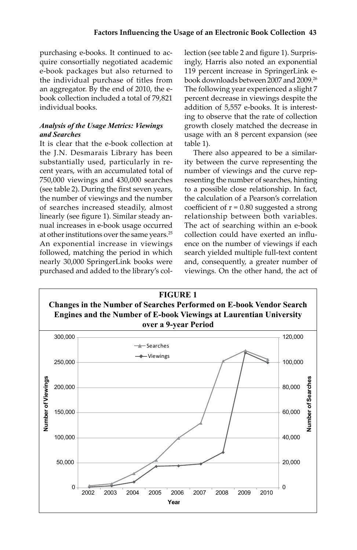purchasing e-books. It continued to acquire consortially negotiated academic e-book packages but also returned to the individual purchase of titles from an aggregator. By the end of 2010, the ebook collection included a total of 79,821 individual books.

# *Analysis of the Usage Metrics: Viewings and Searches*

It is clear that the e-book collection at the J.N. Desmarais Library has been substantially used, particularly in recent years, with an accumulated total of 750,000 viewings and 430,000 searches (see table 2). During the first seven years, the number of viewings and the number of searches increased steadily, almost linearly (see figure 1). Similar steady annual increases in e-book usage occurred at other institutions over the same years.25 An exponential increase in viewings followed, matching the period in which nearly 30,000 SpringerLink books were purchased and added to the library's collection (see table 2 and figure 1). Surprisingly, Harris also noted an exponential 119 percent increase in SpringerLink ebook downloads between 2007 and 2009.<sup>26</sup> The following year experienced a slight 7 percent decrease in viewings despite the addition of 5,557 e-books. It is interesting to observe that the rate of collection growth closely matched the decrease in usage with an 8 percent expansion (see table 1).

There also appeared to be a similarity between the curve representing the number of viewings and the curve representing the number of searches, hinting to a possible close relationship. In fact, the calculation of a Pearson's correlation coefficient of  $r = 0.80$  suggested a strong relationship between both variables. The act of searching within an e-book collection could have exerted an influence on the number of viewings if each search yielded multiple full-text content and, consequently, a greater number of viewings. On the other hand, the act of

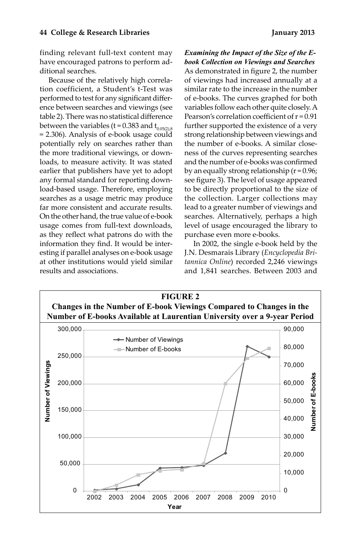finding relevant full-text content may have encouraged patrons to perform additional searches.

Because of the relatively high correlation coefficient, a Student's t-Test was performed to test for any significant difference between searches and viewings (see table 2). There was no statistical difference between the variables (t = 0.383 and  $t_{0.05(2),8}$ = 2.306). Analysis of e-book usage could potentially rely on searches rather than the more traditional viewings, or downloads, to measure activity. It was stated earlier that publishers have yet to adopt any formal standard for reporting download-based usage. Therefore, employing searches as a usage metric may produce far more consistent and accurate results. On the other hand, the true value of e-book usage comes from full-text downloads, as they reflect what patrons do with the information they find. It would be interesting if parallel analyses on e-book usage at other institutions would yield similar results and associations.

*Examining the Impact of the Size of the Ebook Collection on Viewings and Searches* As demonstrated in figure 2, the number of viewings had increased annually at a similar rate to the increase in the number of e-books. The curves graphed for both variables follow each other quite closely. A Pearson's correlation coefficient of r = 0.91 further supported the existence of a very strong relationship between viewings and the number of e-books. A similar closeness of the curves representing searches and the number of e-books was confirmed by an equally strong relationship  $(r=0.96;$ see figure 3). The level of usage appeared to be directly proportional to the size of the collection. Larger collections may lead to a greater number of viewings and searches. Alternatively, perhaps a high level of usage encouraged the library to purchase even more e-books.

In 2002, the single e-book held by the J.N. Desmarais Library (*Encyclopedia Britannica Online*) recorded 2,246 viewings and 1,841 searches. Between 2003 and

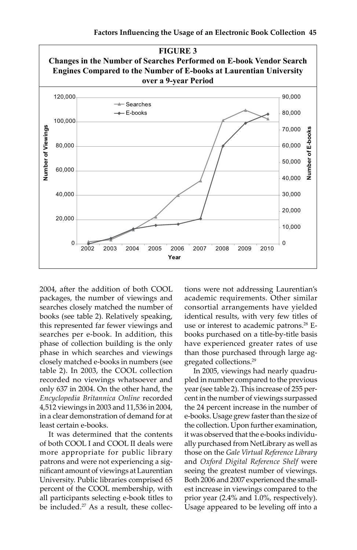

2004, after the addition of both COOL packages, the number of viewings and searches closely matched the number of books (see table 2). Relatively speaking, this represented far fewer viewings and searches per e-book. In addition, this phase of collection building is the only phase in which searches and viewings closely matched e-books in numbers (see table 2). In 2003, the COOL collection recorded no viewings whatsoever and only 637 in 2004. On the other hand, the *Encyclopedia Britannica Online* recorded 4,512 viewings in 2003 and 11,536 in 2004, in a clear demonstration of demand for at least certain e-books.

It was determined that the contents of both COOL I and COOL II deals were more appropriate for public library patrons and were not experiencing a significant amount of viewings at Laurentian University. Public libraries comprised 65 percent of the COOL membership, with all participants selecting e-book titles to be included.<sup>27</sup> As a result, these collec-

tions were not addressing Laurentian's academic requirements. Other similar consortial arrangements have yielded identical results, with very few titles of use or interest to academic patrons.<sup>28</sup> Ebooks purchased on a title-by-title basis have experienced greater rates of use than those purchased through large aggregated collections.<sup>29</sup>

In 2005, viewings had nearly quadrupled in number compared to the previous year (see table 2). This increase of 255 percent in the number of viewings surpassed the 24 percent increase in the number of e-books. Usage grew faster than the size of the collection. Upon further examination, it was observed that the e-books individually purchased from NetLibrary as well as those on the *Gale Virtual Reference Library* and *Oxford Digital Reference Shelf* were seeing the greatest number of viewings. Both 2006 and 2007 experienced the smallest increase in viewings compared to the prior year (2.4% and 1.0%, respectively). Usage appeared to be leveling off into a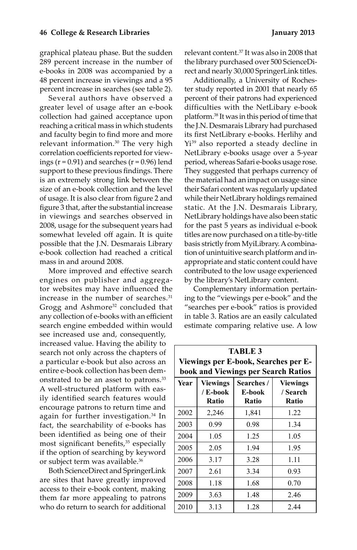graphical plateau phase. But the sudden 289 percent increase in the number of e-books in 2008 was accompanied by a 48 percent increase in viewings and a 95 percent increase in searches (see table 2).

Several authors have observed a greater level of usage after an e-book collection had gained acceptance upon reaching a critical mass in which students and faculty begin to find more and more relevant information.<sup>30</sup> The very high correlation coefficients reported for viewings ( $r = 0.91$ ) and searches ( $r = 0.96$ ) lend support to these previous findings. There is an extremely strong link between the size of an e-book collection and the level of usage. It is also clear from figure 2 and figure 3 that, after the substantial increase in viewings and searches observed in 2008, usage for the subsequent years had somewhat leveled off again. It is quite possible that the J.N. Desmarais Library e-book collection had reached a critical mass in and around 2008.

More improved and effective search engines on publisher and aggregator websites may have influenced the increase in the number of searches.<sup>31</sup> Grogg and Ashmore<sup>32</sup> concluded that any collection of e-books with an efficient search engine embedded within would

see increased use and, consequently, increased value. Having the ability to search not only across the chapters of a particular e-book but also across an entire e-book collection has been demonstrated to be an asset to patrons.33 A well-structured platform with easily identified search features would encourage patrons to return time and again for further investigation.<sup>34</sup> In fact, the searchability of e-books has been identified as being one of their most significant benefits, $35$  especially if the option of searching by keyword or subject term was available.<sup>36</sup>

Both ScienceDirect and SpringerLink are sites that have greatly improved access to their e-book content, making them far more appealing to patrons who do return to search for additional relevant content.37 It was also in 2008 that the library purchased over 500 ScienceDirect and nearly 30,000 SpringerLink titles.

Additionally, a University of Rochester study reported in 2001 that nearly 65 percent of their patrons had experienced difficulties with the NetLibary e-book platform.38 It was in this period of time that the J.N. Desmarais Library had purchased its first NetLibrary e-books. Herlihy and Yi39 also reported a steady decline in NetLibrary e-books usage over a 5-year period, whereas Safari e-books usage rose. They suggested that perhaps currency of the material had an impact on usage since their Safari content was regularly updated while their NetLibrary holdings remained static. At the J.N. Desmarais Library, NetLibrary holdings have also been static for the past 5 years as individual e-book titles are now purchased on a title-by-title basis strictly from MyiLibrary. A combination of unintuitive search platform and inappropriate and static content could have contributed to the low usage experienced by the library's NetLibrary content.

Complementary information pertaining to the "viewings per e-book" and the "searches per e-book" ratios is provided in table 3. Ratios are an easily calculated estimate comparing relative use. A low

| <b>TABLE 3</b><br>Viewings per E-book, Searches per E-<br>book and Viewings per Search Ratios                                              |       |       |      |  |  |  |
|--------------------------------------------------------------------------------------------------------------------------------------------|-------|-------|------|--|--|--|
| Year<br><b>Viewings</b><br><b>Searches /</b><br><b>Viewings</b><br>/ E-book<br>/ Search<br>E-book<br>Ratio<br><b>Ratio</b><br><b>Ratio</b> |       |       |      |  |  |  |
| 2002                                                                                                                                       | 2,246 | 1,841 | 1.22 |  |  |  |
| 2003                                                                                                                                       | 0.99  | 0.98  | 1.34 |  |  |  |
| 2004                                                                                                                                       | 1.05  | 1.25  | 1.05 |  |  |  |
| 2005                                                                                                                                       | 2.05  | 1.94  | 1.95 |  |  |  |
| 2006                                                                                                                                       | 3.17  | 3.28  | 1.11 |  |  |  |
| 2007                                                                                                                                       | 2.61  | 3.34  | 0.93 |  |  |  |
| 2008                                                                                                                                       | 1.18  | 1.68  | 0.70 |  |  |  |
| 2009                                                                                                                                       | 3.63  | 1.48  | 2.46 |  |  |  |
| 2010                                                                                                                                       | 3.13  | 1.28  | 2.44 |  |  |  |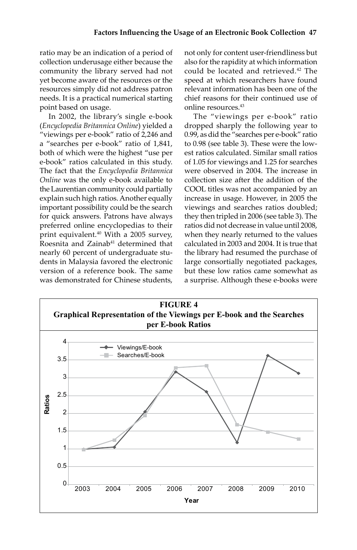ratio may be an indication of a period of collection underusage either because the community the library served had not yet become aware of the resources or the resources simply did not address patron needs. It is a practical numerical starting point based on usage.

In 2002, the library's single e-book (*Encyclopedia Britannica Online*) yielded a "viewings per e-book" ratio of 2,246 and a "searches per e-book" ratio of 1,841, both of which were the highest "use per e-book" ratios calculated in this study. The fact that the *Encyclopedia Britannica Online* was the only e-book available to the Laurentian community could partially explain such high ratios. Another equally important possibility could be the search for quick answers. Patrons have always preferred online encyclopedias to their print equivalent.<sup>40</sup> With a 2005 survey, Roesnita and Zainab<sup>41</sup> determined that nearly 60 percent of undergraduate students in Malaysia favored the electronic version of a reference book. The same was demonstrated for Chinese students,

not only for content user-friendliness but also for the rapidity at which information could be located and retrieved.<sup>42</sup> The speed at which researchers have found relevant information has been one of the chief reasons for their continued use of online resources.43

The "viewings per e-book" ratio dropped sharply the following year to 0.99, as did the "searches per e-book" ratio to 0.98 (see table 3). These were the lowest ratios calculated. Similar small ratios of 1.05 for viewings and 1.25 for searches were observed in 2004. The increase in collection size after the addition of the COOL titles was not accompanied by an increase in usage. However, in 2005 the viewings and searches ratios doubled; they then tripled in 2006 (see table 3). The ratios did not decrease in value until 2008, when they nearly returned to the values calculated in 2003 and 2004. It is true that the library had resumed the purchase of large consortially negotiated packages, but these low ratios came somewhat as a surprise. Although these e-books were

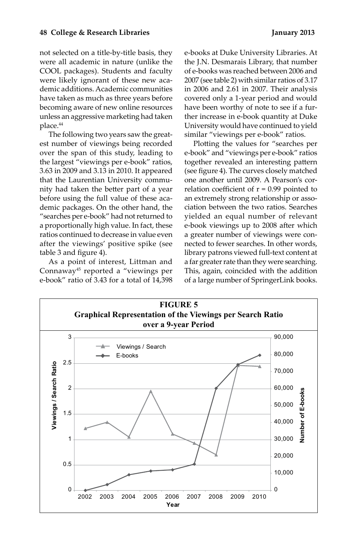not selected on a title-by-title basis, they were all academic in nature (unlike the COOL packages). Students and faculty were likely ignorant of these new academic additions. Academic communities have taken as much as three years before becoming aware of new online resources unless an aggressive marketing had taken place.<sup>44</sup>

The following two years saw the greatest number of viewings being recorded over the span of this study, leading to the largest "viewings per e-book" ratios, 3.63 in 2009 and 3.13 in 2010. It appeared that the Laurentian University community had taken the better part of a year before using the full value of these academic packages. On the other hand, the "searches per e-book" had not returned to a proportionally high value. In fact, these ratios continued to decrease in value even after the viewings' positive spike (see table 3 and figure 4).

As a point of interest, Littman and Connaway45 reported a "viewings per e-book" ratio of 3.43 for a total of 14,398 e-books at Duke University Libraries. At the J.N. Desmarais Library, that number of e-books was reached between 2006 and 2007 (see table 2) with similar ratios of 3.17 in 2006 and 2.61 in 2007. Their analysis covered only a 1-year period and would have been worthy of note to see if a further increase in e-book quantity at Duke University would have continued to yield similar "viewings per e-book" ratios.

Plotting the values for "searches per e-book" and "viewings per e-book" ratios together revealed an interesting pattern (see figure 4). The curves closely matched one another until 2009. A Pearson's correlation coefficient of  $r = 0.99$  pointed to an extremely strong relationship or association between the two ratios. Searches yielded an equal number of relevant e-book viewings up to 2008 after which a greater number of viewings were connected to fewer searches. In other words, library patrons viewed full-text content at a far greater rate than they were searching. This, again, coincided with the addition of a large number of SpringerLink books.

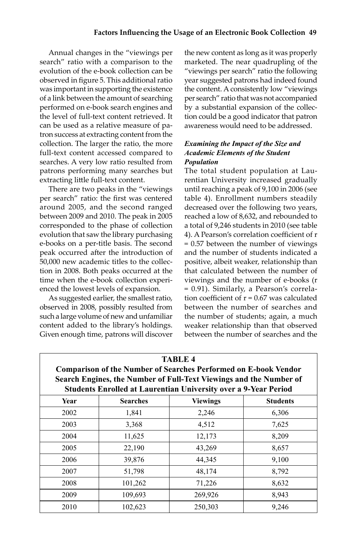Annual changes in the "viewings per search" ratio with a comparison to the evolution of the e-book collection can be observed in figure 5. This additional ratio was important in supporting the existence of a link between the amount of searching performed on e-book search engines and the level of full-text content retrieved. It can be used as a relative measure of patron success at extracting content from the collection. The larger the ratio, the more full-text content accessed compared to searches. A very low ratio resulted from patrons performing many searches but extracting little full-text content.

There are two peaks in the "viewings per search" ratio: the first was centered around 2005, and the second ranged between 2009 and 2010. The peak in 2005 corresponded to the phase of collection evolution that saw the library purchasing e-books on a per-title basis. The second peak occurred after the introduction of 50,000 new academic titles to the collection in 2008. Both peaks occurred at the time when the e-book collection experienced the lowest levels of expansion.

As suggested earlier, the smallest ratio, observed in 2008, possibly resulted from such a large volume of new and unfamiliar content added to the library's holdings. Given enough time, patrons will discover the new content as long as it was properly marketed. The near quadrupling of the "viewings per search" ratio the following year suggested patrons had indeed found the content. A consistently low "viewings per search" ratio that was not accompanied by a substantial expansion of the collection could be a good indicator that patron awareness would need to be addressed.

# *Examining the Impact of the Size and Academic Elements of the Student Population*

The total student population at Laurentian University increased gradually until reaching a peak of 9,100 in 2006 (see table 4). Enrollment numbers steadily decreased over the following two years, reached a low of 8,632, and rebounded to a total of 9,246 students in 2010 (see table 4). A Pearson's correlation coefficient of r = 0.57 between the number of viewings and the number of students indicated a positive, albeit weaker, relationship than that calculated between the number of viewings and the number of e-books (r = 0.91). Similarly, a Pearson's correlation coefficient of  $r = 0.67$  was calculated between the number of searches and the number of students; again, a much weaker relationship than that observed between the number of searches and the

| <b>TABLE 4</b><br><b>Comparison of the Number of Searches Performed on E-book Vendor</b><br>Search Engines, the Number of Full-Text Viewings and the Number of<br><b>Students Enrolled at Laurentian University over a 9-Year Period</b> |         |         |       |  |  |  |  |
|------------------------------------------------------------------------------------------------------------------------------------------------------------------------------------------------------------------------------------------|---------|---------|-------|--|--|--|--|
| <b>Searches</b><br><b>Viewings</b><br><b>Students</b><br>Year                                                                                                                                                                            |         |         |       |  |  |  |  |
| 2002                                                                                                                                                                                                                                     | 1,841   | 2,246   | 6,306 |  |  |  |  |
| 2003                                                                                                                                                                                                                                     | 3,368   | 4,512   | 7,625 |  |  |  |  |
| 2004                                                                                                                                                                                                                                     | 11,625  | 12,173  | 8,209 |  |  |  |  |
| 2005                                                                                                                                                                                                                                     | 22,190  | 43,269  | 8,657 |  |  |  |  |
| 2006                                                                                                                                                                                                                                     | 39,876  | 44,345  | 9,100 |  |  |  |  |
| 2007                                                                                                                                                                                                                                     | 51,798  | 48,174  | 8,792 |  |  |  |  |
| 2008                                                                                                                                                                                                                                     | 101,262 | 71,226  | 8,632 |  |  |  |  |
| 2009                                                                                                                                                                                                                                     | 109,693 | 269,926 | 8,943 |  |  |  |  |
| 2010                                                                                                                                                                                                                                     | 102,623 | 250.303 | 9,246 |  |  |  |  |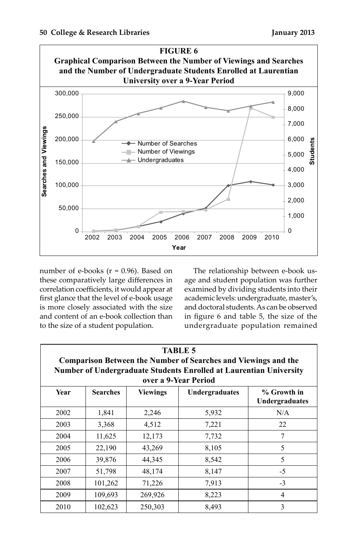

number of e-books ( $r = 0.96$ ). Based on these comparatively large differences in correlation coefficients, it would appear at first glance that the level of e-book usage is more closely associated with the size and content of an e-book collection than to the size of a student population.

The relationship between e-book usage and student population was further examined by dividing students into their academic levels: undergraduate, master's, and doctoral students. As can be observed in figure 6 and table 5, the size of the undergraduate population remained

| <b>TABLE 5</b><br><b>Comparison Between the Number of Searches and Viewings and the</b><br>Number of Undergraduate Students Enrolled at Laurentian University<br>over a 9-Year Period |                                                                                       |         |       |      |  |  |  |  |
|---------------------------------------------------------------------------------------------------------------------------------------------------------------------------------------|---------------------------------------------------------------------------------------|---------|-------|------|--|--|--|--|
| Year                                                                                                                                                                                  | <b>Searches</b><br><b>Viewings</b><br>% Growth in<br>Undergraduates<br>Undergraduates |         |       |      |  |  |  |  |
| 2002                                                                                                                                                                                  | 1,841                                                                                 | 2,246   | 5,932 | N/A  |  |  |  |  |
| 2003                                                                                                                                                                                  | 3,368                                                                                 | 4,512   | 7,221 | 22   |  |  |  |  |
| 2004                                                                                                                                                                                  | 11,625                                                                                | 12,173  | 7.732 | 7    |  |  |  |  |
| 2005                                                                                                                                                                                  | 22,190                                                                                | 43,269  | 8,105 | 5    |  |  |  |  |
| 2006                                                                                                                                                                                  | 39,876                                                                                | 44,345  | 8,542 | 5    |  |  |  |  |
| 2007                                                                                                                                                                                  | 51,798                                                                                | 48,174  | 8,147 | $-5$ |  |  |  |  |
| 2008                                                                                                                                                                                  | 101,262                                                                               | 71,226  | 7,913 | $-3$ |  |  |  |  |
| 2009                                                                                                                                                                                  | 109,693                                                                               | 269,926 | 8,223 | 4    |  |  |  |  |
| 2010                                                                                                                                                                                  | 102,623                                                                               | 250,303 | 8,493 | 3    |  |  |  |  |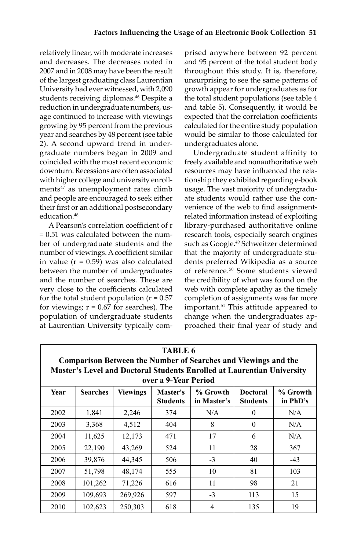relatively linear, with moderate increases and decreases. The decreases noted in 2007 and in 2008 may have been the result of the largest graduating class Laurentian University had ever witnessed, with 2,090 students receiving diplomas.<sup>46</sup> Despite a reduction in undergraduate numbers, usage continued to increase with viewings growing by 95 percent from the previous year and searches by 48 percent (see table 2). A second upward trend in undergraduate numbers began in 2009 and coincided with the most recent economic downturn. Recessions are often associated with higher college and university enrollments<sup>47</sup> as unemployment rates climb and people are encouraged to seek either their first or an additional postsecondary education.<sup>48</sup>

A Pearson's correlation coefficient of r = 0.51 was calculated between the number of undergraduate students and the number of viewings. A coefficient similar in value ( $r = 0.59$ ) was also calculated between the number of undergraduates and the number of searches. These are very close to the coefficients calculated for the total student population ( $r = 0.57$ ) for viewings;  $r = 0.67$  for searches). The population of undergraduate students at Laurentian University typically comprised anywhere between 92 percent and 95 percent of the total student body throughout this study. It is, therefore, unsurprising to see the same patterns of growth appear for undergraduates as for the total student populations (see table 4 and table 5). Consequently, it would be expected that the correlation coefficients calculated for the entire study population would be similar to those calculated for undergraduates alone.

Undergraduate student affinity to freely available and nonauthoritative web resources may have influenced the relationship they exhibited regarding e-book usage. The vast majority of undergraduate students would rather use the convenience of the web to find assignmentrelated information instead of exploiting library-purchased authoritative online research tools, especially search engines such as Google.<sup>49</sup> Schweitzer determined that the majority of undergraduate students preferred Wikipedia as a source of reference.50 Some students viewed the credibility of what was found on the web with complete apathy as the timely completion of assignments was far more important.<sup>51</sup> This attitude appeared to change when the undergraduates approached their final year of study and

|                                                                                                                                                                    | TABLE 6<br><b>Comparison Between the Number of Searches and Viewings and the</b><br>Master's Level and Doctoral Students Enrolled at Laurentian University<br>over a 9-Year Period |         |     |      |          |       |  |  |
|--------------------------------------------------------------------------------------------------------------------------------------------------------------------|------------------------------------------------------------------------------------------------------------------------------------------------------------------------------------|---------|-----|------|----------|-------|--|--|
| <b>Viewings</b><br>Year<br><b>Searches</b><br>% Growth<br><b>Doctoral</b><br>% Growth<br>Master's<br>in Master's<br>in PhD's<br><b>Students</b><br><b>Students</b> |                                                                                                                                                                                    |         |     |      |          |       |  |  |
| 2002                                                                                                                                                               | 1,841                                                                                                                                                                              | 2,246   | 374 | N/A  | $\theta$ | N/A   |  |  |
| 2003                                                                                                                                                               | 3,368                                                                                                                                                                              | 4,512   | 404 | 8    | $\theta$ | N/A   |  |  |
| 2004                                                                                                                                                               | 11,625                                                                                                                                                                             | 12,173  | 471 | 17   | 6        | N/A   |  |  |
| 2005                                                                                                                                                               | 22,190                                                                                                                                                                             | 43,269  | 524 | 11   | 28       | 367   |  |  |
| 2006                                                                                                                                                               | 39,876                                                                                                                                                                             | 44,345  | 506 | $-3$ | 40       | $-43$ |  |  |
| 2007                                                                                                                                                               | 51,798                                                                                                                                                                             | 48,174  | 555 | 10   | 81       | 103   |  |  |
| 2008                                                                                                                                                               | 101,262                                                                                                                                                                            | 71,226  | 616 | 11   | 98       | 21    |  |  |
| 2009                                                                                                                                                               | 109,693                                                                                                                                                                            | 269,926 | 597 | $-3$ | 113      | 15    |  |  |
| 2010                                                                                                                                                               | 102,623                                                                                                                                                                            | 250,303 | 618 | 4    | 135      | 19    |  |  |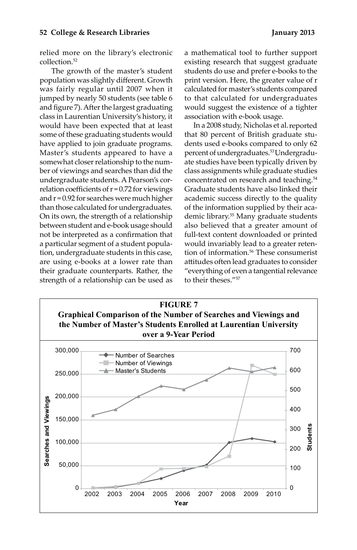relied more on the library's electronic collection.52

 The growth of the master's student population was slightly different. Growth was fairly regular until 2007 when it jumped by nearly 50 students (see table 6 and figure 7). After the largest graduating class in Laurentian University's history, it would have been expected that at least some of these graduating students would have applied to join graduate programs. Master's students appeared to have a somewhat closer relationship to the number of viewings and searches than did the undergraduate students. A Pearson's correlation coefficients of  $r = 0.72$  for viewings and  $r = 0.92$  for searches were much higher than those calculated for undergraduates. On its own, the strength of a relationship between student and e-book usage should not be interpreted as a confirmation that a particular segment of a student population, undergraduate students in this case, are using e-books at a lower rate than their graduate counterparts. Rather, the strength of a relationship can be used as

a mathematical tool to further support existing research that suggest graduate students do use and prefer e-books to the print version. Here, the greater value of r calculated for master's students compared to that calculated for undergraduates would suggest the existence of a tighter association with e-book usage.

In a 2008 study, Nicholas et al.reported that 80 percent of British graduate students used e-books compared to only 62 percent of undergraduates.<sup>53</sup> Undergraduate studies have been typically driven by class assignments while graduate studies concentrated on research and teaching.<sup>54</sup> Graduate students have also linked their academic success directly to the quality of the information supplied by their academic library.55 Many graduate students also believed that a greater amount of full-text content downloaded or printed would invariably lead to a greater retention of information.<sup>56</sup> These consumerist attitudes often lead graduates to consider "everything of even a tangential relevance to their theses."57

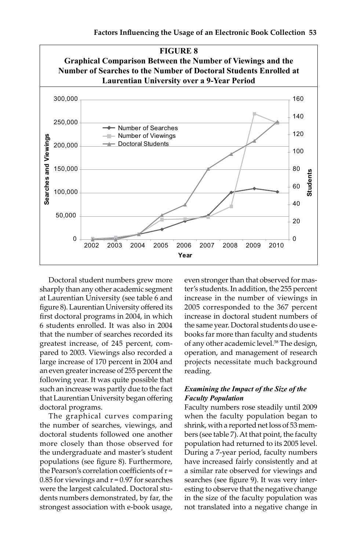

Doctoral student numbers grew more sharply than any other academic segment at Laurentian University (see table 6 and figure 8). Laurentian University offered its first doctoral programs in 2004, in which 6 students enrolled. It was also in 2004 that the number of searches recorded its greatest increase, of 245 percent, compared to 2003. Viewings also recorded a large increase of 170 percent in 2004 and an even greater increase of 255 percent the following year. It was quite possible that such an increase was partly due to the fact that Laurentian University began offering doctoral programs.

The graphical curves comparing the number of searches, viewings, and doctoral students followed one another more closely than those observed for the undergraduate and master's student populations (see figure 8). Furthermore, the Pearson's correlation coefficients of r =  $0.85$  for viewings and  $r = 0.97$  for searches were the largest calculated. Doctoral students numbers demonstrated, by far, the strongest association with e-book usage, even stronger than that observed for master's students. In addition, the 255 percent increase in the number of viewings in 2005 corresponded to the 367 percent increase in doctoral student numbers of the same year. Doctoral students do use ebooks far more than faculty and students of any other academic level.<sup>58</sup> The design, operation, and management of research projects necessitate much background reading.

# *Examining the Impact of the Size of the Faculty Population*

Faculty numbers rose steadily until 2009 when the faculty population began to shrink, with a reported net loss of 53 members (see table 7). At that point, the faculty population had returned to its 2005 level. During a 7-year period, faculty numbers have increased fairly consistently and at a similar rate observed for viewings and searches (see figure 9). It was very interesting to observe that the negative change in the size of the faculty population was not translated into a negative change in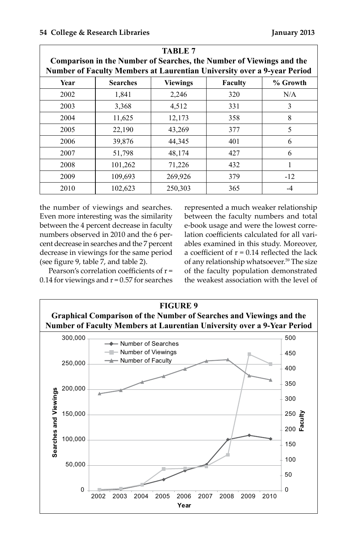| <b>TABLE 7</b><br>Comparison in the Number of Searches, the Number of Viewings and the<br><b>Number of Faculty Members at Laurentian University over a 9-year Period</b> |                 |                 |         |          |  |  |
|--------------------------------------------------------------------------------------------------------------------------------------------------------------------------|-----------------|-----------------|---------|----------|--|--|
| Year                                                                                                                                                                     | <b>Searches</b> | <b>Viewings</b> | Faculty | % Growth |  |  |
| 2002                                                                                                                                                                     | 1,841           | 2,246           | 320     | N/A      |  |  |
| 2003                                                                                                                                                                     | 3,368           | 4,512           | 331     | 3        |  |  |
| 2004                                                                                                                                                                     | 11,625          | 12,173          | 358     | 8        |  |  |
| 2005                                                                                                                                                                     | 22,190          | 43,269          | 377     | 5        |  |  |
| 2006                                                                                                                                                                     | 39,876          | 44,345          | 401     | 6        |  |  |
| 2007                                                                                                                                                                     | 51,798          | 48,174          | 427     | 6        |  |  |
| 2008                                                                                                                                                                     | 101,262         | 71,226          | 432     | 1        |  |  |
| 2009                                                                                                                                                                     | 109,693         | 269,926         | 379     | $-12$    |  |  |
| 2010                                                                                                                                                                     | 102,623         | 250,303         | 365     |          |  |  |

the number of viewings and searches. Even more interesting was the similarity between the 4 percent decrease in faculty numbers observed in 2010 and the 6 percent decrease in searches and the 7 percent decrease in viewings for the same period (see figure 9, table 7, and table 2).

Pearson's correlation coefficients of r = 0.14 for viewings and  $r = 0.57$  for searches

represented a much weaker relationship between the faculty numbers and total e-book usage and were the lowest correlation coefficients calculated for all variables examined in this study. Moreover, a coefficient of  $r = 0.14$  reflected the lack of any relationship whatsoever.<sup>59</sup> The size of the faculty population demonstrated the weakest association with the level of

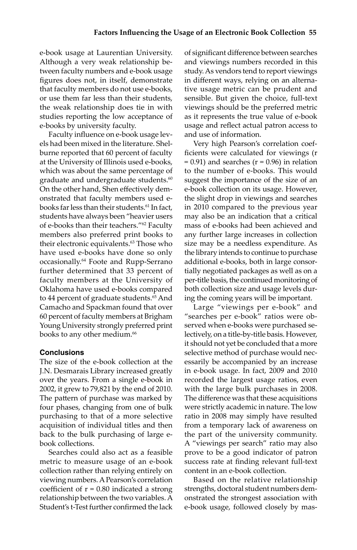e-book usage at Laurentian University. Although a very weak relationship between faculty numbers and e-book usage figures does not, in itself, demonstrate that faculty members do not use e-books, or use them far less than their students, the weak relationship does tie in with studies reporting the low acceptance of e-books by university faculty.

Faculty influence on e-book usage levels had been mixed in the literature. Shelburne reported that 60 percent of faculty at the University of Illinois used e-books, which was about the same percentage of graduate and undergraduate students.<sup>60</sup> On the other hand, Shen effectively demonstrated that faculty members used ebooks far less than their students.<sup>61</sup> In fact, students have always been "heavier users of e-books than their teachers."62 Faculty members also preferred print books to their electronic equivalents.<sup>63</sup> Those who have used e-books have done so only occasionally.64 Foote and Rupp-Serrano further determined that 33 percent of faculty members at the University of Oklahoma have used e-books compared to 44 percent of graduate students.<sup>65</sup> And Camacho and Spackman found that over 60 percent of faculty members at Brigham Young University strongly preferred print books to any other medium.<sup>66</sup>

# **Conclusions**

The size of the e-book collection at the J.N. Desmarais Library increased greatly over the years. From a single e-book in 2002, it grew to 79,821 by the end of 2010. The pattern of purchase was marked by four phases, changing from one of bulk purchasing to that of a more selective acquisition of individual titles and then back to the bulk purchasing of large ebook collections.

Searches could also act as a feasible metric to measure usage of an e-book collection rather than relying entirely on viewing numbers. A Pearson's correlation coefficient of  $r = 0.80$  indicated a strong relationship between the two variables. A Student's t-Test further confirmed the lack

of significant difference between searches and viewings numbers recorded in this study. As vendors tend to report viewings in different ways, relying on an alternative usage metric can be prudent and sensible. But given the choice, full-text viewings should be the preferred metric as it represents the true value of e-book usage and reflect actual patron access to and use of information.

Very high Pearson's correlation coefficients were calculated for viewings (r  $= 0.91$ ) and searches ( $r = 0.96$ ) in relation to the number of e-books. This would suggest the importance of the size of an e-book collection on its usage. However, the slight drop in viewings and searches in 2010 compared to the previous year may also be an indication that a critical mass of e-books had been achieved and any further large increases in collection size may be a needless expenditure. As the library intends to continue to purchase additional e-books, both in large consortially negotiated packages as well as on a per-title basis, the continued monitoring of both collection size and usage levels during the coming years will be important.

Large "viewings per e-book" and "searches per e-book" ratios were observed when e-books were purchased selectively, on a title-by-title basis. However, it should not yet be concluded that a more selective method of purchase would necessarily be accompanied by an increase in e-book usage. In fact, 2009 and 2010 recorded the largest usage ratios, even with the large bulk purchases in 2008. The difference was that these acquisitions were strictly academic in nature. The low ratio in 2008 may simply have resulted from a temporary lack of awareness on the part of the university community. A "viewings per search" ratio may also prove to be a good indicator of patron success rate at finding relevant full-text content in an e-book collection.

Based on the relative relationship strengths, doctoral student numbers demonstrated the strongest association with e-book usage, followed closely by mas-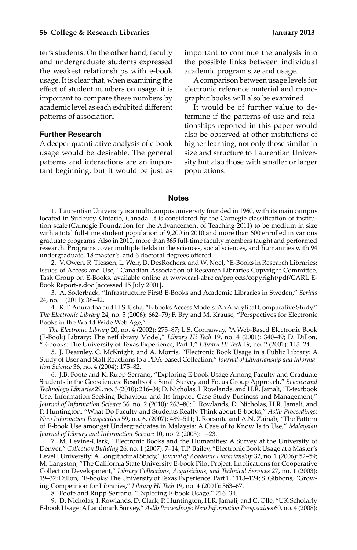ter's students. On the other hand, faculty and undergraduate students expressed the weakest relationships with e-book usage. It is clear that, when examining the effect of student numbers on usage, it is important to compare these numbers by academic level as each exhibited different patterns of association.

# **Further Research**

A deeper quantitative analysis of e-book usage would be desirable. The general patterns and interactions are an important beginning, but it would be just as important to continue the analysis into the possible links between individual academic program size and usage.

A comparison between usage levels for electronic reference material and monographic books will also be examined.

It would be of further value to determine if the patterns of use and relationships reported in this paper would also be observed at other institutions of higher learning, not only those similar in size and structure to Laurentian University but also those with smaller or larger populations.

## **Notes**

 1. Laurentian University is a multicampus university founded in 1960, with its main campus located in Sudbury, Ontario, Canada. It is considered by the Carnegie classification of institution scale (Carnegie Foundation for the Advancement of Teaching 2011) to be medium in size with a total full-time student population of 9,200 in 2010 and more than 600 enrolled in various graduate programs. Also in 2010, more than 365 full-time faculty members taught and performed research. Programs cover multiple fields in the sciences, social sciences, and humanities with 94 undergraduate, 18 master's, and 6 doctoral degrees offered.

 2. V. Owen, R. Tiessen, L. Weir, D. DesRochers, and W. Noel, "E-Books in Research Libraries: Issues of Access and Use," Canadian Association of Research Libraries Copyright Committee, Task Group on E-Books, available online at www.carl-abrc.ca/projects/copyright/pdf/CARL E-Book Report-e.doc [accessed 15 July 2001].

3. A. Soderback, "Infrastructure First! E-Books and Academic Libraries in Sweden," *Serials* 24, no. 1 (2011): 38–42.

4. K.T. Anuradha and H.S. Usha, "E-books Access Models: An Analytical Comparative Study," *The Electronic Library* 24, no. 5 (2006): 662–79; F. Bry and M. Krause, "Perspectives for Electronic Books in the World Wide Web Age,"

*The Electronic Library* 20, no. 4 (2002): 275–87; L.S. Connaway, "A Web-Based Electronic Book (E-Book) Library: The netLibrary Model," *Library Hi Tech* 19, no. 4 (2001): 340–49; D. Dillon, "E-books: The University of Texas Experience, Part 1," *Library Hi Tech* 19, no. 2 (2001): 113–24.

 5. J. Dearnley, C. McKnight, and A. Morris, "Electronic Book Usage in a Public Library: A Study of User and Staff Reactions to a PDA-based Collection," *Journal of Librarianship and Information Science* 36, no. 4 (2004): 175–82.

 6. J.B. Foote and K. Rupp-Serrano, "Exploring E-book Usage Among Faculty and Graduate Students in the Geosciences: Results of a Small Survey and Focus Group Approach," *Science and Technology Libraries* 29, no. 3 (2010): 216–34; D. Nicholas, I. Rowlands, and H.R. Jamali, "E-textbook Use, Information Seeking Behaviour and Its Impact: Case Study Business and Management," *Journal of Information Science* 36, no. 2 (2010): 263–80; I. Rowlands, D. Nicholas, H.R. Jamali, and P. Huntington, "What Do Faculty and Students Really Think about E-books," *Aslib Proceedings: New Information Perspectives* 59, no. 6, (2007): 489–511; I. Roesnita and A.N. Zainab, "The Pattern of E-book Use amongst Undergraduates in Malaysia: A Case of to Know Is to Use," *Malaysian Journal of Library and Information Science* 10, no. 2 (2005): 1–23.

 7. M. Levine-Clark, "Electronic Books and the Humanities: A Survey at the University of Denver," *Collection Building* 26, no. 1 (2007): 7–14; T.P. Bailey, "Electronic Book Usage at a Master's Level I University: A Longitudinal Study," *Journal of Academic Librarianship* 32, no. 1 (2006): 52–59; M. Langston, "The California State University E-book Pilot Project: Implications for Cooperative Collection Development," *Library Collections, Acquisitions, and Technical Services* 27, no. 1 (2003): 19–32; Dillon, "E-books: The University of Texas Experience, Part 1," 113–124; S. Gibbons, "Growing Competition for Libraries," *Library Hi Tech* 19, no. 4 (2001): 363–67.

8. Foote and Rupp-Serrano, "Exploring E-book Usage," 216–34.

 9. D. Nicholas, I. Rowlands, D. Clark, P. Huntington, H.R. Jamali, and C. Olle, "UK Scholarly E-book Usage: A Landmark Survey," *Aslib Proceedings: New Information Perspectives* 60, no. 4 (2008):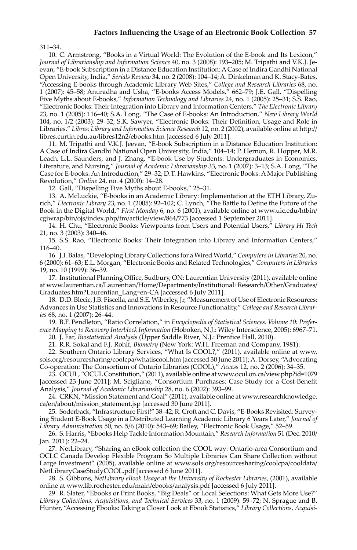### **Factors Influencing the Usage of an Electronic Book Collection  57**

311–34.

 10. C. Armstrong, "Books in a Virtual World: The Evolution of the E-book and Its Lexicon," *Journal of Librarianship and Information Science* 40, no. 3 (2008): 193–205; M. Tripathi and V.K.J. Jeevan, "E-book Subscription in a Distance Education Institution: A Case of Indira Gandhi National Open University, India," *Serials Review* 34, no. 2 (2008): 104–14; A. Dinkelman and K. Stacy-Bates, "Accessing E-books through Academic Library Web Sites," *College and Research Libraries* 68, no. 1 (2007): 45–58; Anuradha and Usha, "E-books Access Models," 662–79; J.E. Gall, "Dispelling Five Myths about E-books," *Information Technology and Libraries* 24, no. 1 (2005): 25–31; S.S. Rao, "Electronic Books: Their Integration into Library and Information Centers," *The Electronic Library* 23, no. 1 (2005): 116–40; S.A. Long, "The Case of E-books: An Introduction," *New Library World* 104, no. 1/2 (2003): 29–32; S.K. Sawyer, "Electronic Books: Their Definition, Usage and Role in Libraries," *Libres: Library and Information Science Research* 12, no. 2 (2002), available online at http:// libres.curtin.edu.au/libres12n2/ebooks.htm [accessed 6 July 2011].

 11. M. Tripathi and V.K.J. Jeevan, "E-book Subscription in a Distance Education Institution: A Case of Indira Gandhi National Open University, India," 104–14; P. Hernon, R. Hopper, M.R. Leach, L.L. Saunders, and J. Zhang, "E-book Use by Students: Undergraduates in Economics, Literature, and Nursing," *Journal of Academic Librarianship* 33, no. 1 (2007): 3–13; S.A. Long, "The Case for E-books: An Introduction," 29–32; D.T. Hawkins, "Electronic Books: A Major Publishing Revolution," *Online* 24, no. 4 (2000): 14–28.

12. Gall, "Dispelling Five Myths about E-books," 25–31.

 13. A. McLuckie, "E-books in an Academic Library: Implementation at the ETH Library, Zurich," *Electronic Library* 23, no. 1 (2005): 92–102; C. Lynch, "The Battle to Define the Future of the Book in the Digital World," *First Monday* 6, no. 6 (2001), available online at www.uic.edu/htbin/ cgiwrap/bin/ojs/index.php/fm/article/view/864/773 [accessed 1 September 2011].

 14. H. Chu, "Electronic Books: Viewpoints from Users and Potential Users," *Library Hi Tech* 21, no. 3 (2003): 340–46.

 15. S.S. Rao, "Electronic Books: Their Integration into Library and Information Centers," 116–40.

 16. J.I. Balas, "Developing Library Collections for a Wired World," *Computers in Libraries* 20, no. 6 (2000): 61–63; E.L. Morgan, "Electronic Books and Related Technologies," *Computers in Libraries* 19, no. 10 (1999): 36–39.

 17. Institutional Planning Office, Sudbury, ON: Laurentian University (2011), available online at www.laurentian.ca/Laurentian/Home/Departments/Institutional+Research/Other/Graduates/ Graduates.htm?Laurentian\_Lang=en-CA [accessed 6 July 2011].

 18. D.D. Blecic, J.B. Fiscella, and S.E. Wiberley, Jr, "Measurement of Use of Electronic Resources: Advances in Use Statistics and Innovations in Resource Functionality," *College and Research Libraries* 68, no. 1 (2007): 26–44.

 19. B.F. Pendleton, "Ratio Correlation," in *Encyclopedia of Statistical Sciences. Volume 10: Preference Mapping to Recovery Interblock Information* (Hoboken, N.J.: Wiley Interscience, 2005): 6967–71.

20. J. Far, *Biostatistical Analysis* (Upper Saddle River, N.J.: Prentice Hall, 2010).

21. R.R. Sokal and F.J. Rohlf, *Biometry* (New York: W.H. Freeman and Company, 1981).

 22. Southern Ontario Library Services, "What Is COOL?," (2011), available online at www. sols.org/resourcesharing/coolcpa/whatiscool.htm [accessed 30 June 2011]; A. Dorsey, "Advocating Co-operation: The Consortium of Ontario Libraries (COOL)," *Access* 12, no. 2 (2006): 34–35.

 23. OCUL, "OCUL Constitution," (2011), available online at www.ocul.on.ca/view.php?id=1079 [accessed 23 June 2011]; M. Scigliano, "Consortium Purchases: Case Study for a Cost-Benefit Analysis," *Journal of Academic Librarianship* 28, no. 6 (2002): 393–99.

 24. CRKN, "Mission Statement and Goal" (2011), available online at www.researchknowledge. ca/en/about/mission\_statement.jsp [accessed 30 June 2011].

 25. Soderback, "Infrastructure First!" 38–42; R. Croft and C. Davis, "E-Books Revisited: Surveying Student E-Book Usage in a Distributed Learning Academic Library 6 Years Later," *Journal of Library Administration* 50, no. 5/6 (2010): 543–69; Bailey, "Electronic Book Usage," 52–59.

 26. S. Harris, "Ebooks Help Tackle Information Mountain," *Research Information* 51 (Dec. 2010/ Jan. 2011): 22–24.

 27. NetLibrary, "Sharing an eBook collection the COOL way: Ontario-area Consortium and OCLC Canada Develop Flexible Program So Multiple Libraries Can Share Collection without Large Investment" (2005), available online at www.sols.org/resourcesharing/coolcpa/cooldata/ NetLibraryCaseStudyCOOL.pdf [accessed 6 June 2011].

 28. S. Gibbons, *NetLibrary eBook Usage at the University of Rochester Libraries*, (2001), available online at www.lib.rochester.edu/main/ebooks/analysis.pdf [accessed 6 July 2011].

 29. R. Slater, "Ebooks or Print Books, "Big Deals" or Local Selections: What Gets More Use?" *Library Collections, Acquisitions, and Technical Services* 33, no. 1 (2009): 59–72; N. Sprague and B. Hunter, "Accessing Ebooks: Taking a Closer Look at Ebook Statistics," *Library Collections, Acquisi-*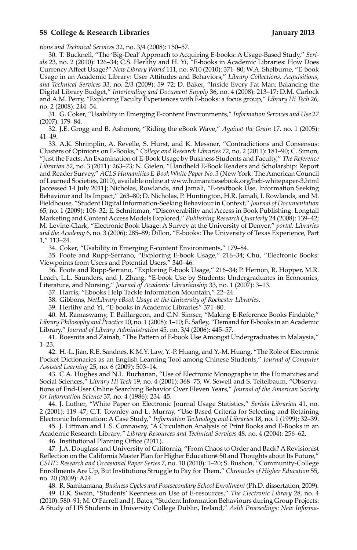### **58  College & Research Libraries January 2013**

*tions and Technical Services* 32, no. 3/4 (2008): 150–57.

 30. T. Bucknell, "The 'Big-Deal' Approach to Acquiring E-books: A Usage-Based Study," *Serials* 23, no. 2 (2010): 126–34; C.S. Herlihy and H. Yi, "E-books in Academic Libraries: How Does Currency Affect Usage?" *New Library World* 111, no. 9/10 (2010): 371–80; W.A. Shelburne, "E-book Usage in an Academic Library: User Attitudes and Behaviors," *Library Collections, Acquisitions, and Technical Services* 33, no. 2/3 (2009): 59–72; D. Baker, "Inside Every Fat Man: Balancing the Digital Library Budget," *Interlending and Document Supply* 36, no. 4 (2008): 213–17; D.M. Carlock and A.M. Perry, "Exploring Faculty Experiences with E-books: a focus group," *Library Hi Tech* 26, no. 2 (2008): 244–54.

 31. G. Coker, "Usability in Emerging E-content Environments," *Information Services and Use* 27 (2007): 179–84.

 32. J.E. Grogg and B. Ashmore, "Riding the eBook Wave," *Against the Grain* 17, no. 1 (2005): 41–49.

 33. A.K. Shrimplin, A. Revelle, S. Hurst, and K. Messner, "Contradictions and Consensus: Clusters of Opinions on E-Books," *College and Research Libraries* 72, no. 2 (2011): 181–90; C. Simon, "Just the Facts: An Examination of E-Book Usage by Business Students and Faculty," *The Reference Librarian* 52, no. 3 (2011): 263–73; N. Gielen, "Handheld E-Book Readers and Scholarship: Report and Reader Survey," *ACLS Humanities E-Book White Paper No. 3* (New York: The American Council of Learned Societies, 2010), available online at www.humanitiesebook.org/heb-whitepaper-3.html [accessed 14 July 2011]; Nicholas, Rowlands, and Jamali, "E-textbook Use, Information Seeking Behaviour and Its Impact," 263–80; D. Nicholas, P. Huntington, H.R. Jamali, I. Rowlands, and M. Fieldhouse, "Student Digital Information-Seeking Behaviour in Context," *Journal of Documentation* 65, no. 1 (2009): 106–32; E. Schnittman, "Discoverability and Access in Book Publishing: Longtail Marketing and Content Access Models Explored," *Publishing Research Quarterly* 24 (2008): 139–42; M. Levine-Clark, "Electronic Book Usage: A Survey at the University of Denver," *portal: Libraries and the Academy* 6, no. 3 (2006): 285–89; Dillon, "E-books: The University of Texas Experience, Part 1," 113–24.

34. Coker, "Usability in Emerging E-content Environments," 179–84.

 35. Foote and Rupp-Serrano, "Exploring E-book Usage," 216–34; Chu, "Electronic Books: Viewpoints from Users and Potential Users," 340–46.

 36. Foote and Rupp-Serrano, "Exploring E-book Usage," 216–34; P. Hernon, R. Hopper, M.R. Leach, L.L. Saunders, and J. Zhang, "E-book Use by Students: Undergraduates in Economics, Literature, and Nursing," *Journal of Academic Librarianship* 33, no. 1 (2007): 3–13.

37. Harris, "Ebooks Help Tackle Information Mountain," 22–24.

38. Gibbons, *NetLibrary eBook Usage at the University of Rochester Libraries*.

39. Herlihy and Yi, "E-books in Academic Libraries" 371–80.

 40. M. Ramaswamy, T. Baillargeon, and C.N. Simser, "Making E-Reference Books Findable," *Library Philosophy and Practice* 10, no. 1 (2008): 1–10; E. Safley, "Demand for E-books in an Academic Library," *Journal of Library Administration* 45, no. 3/4 (2006): 445–57.

 41. Roesnita and Zainab, "The Pattern of E-book Use Amongst Undergraduates in Malaysia," 1–23.

 42. H.-L. Jian, R.E. Sandnes, K.M.Y. Law, Y.-P. Huang, and Y.-M. Huang, "The Role of Electronic Pocket Dictionaries as an English Learning Tool among Chinese Students," *Journal of Computer Assisted Learning* 25, no. 6 (2009): 503–14.

 43. C.A. Hughes and N.L. Buchanan, "Use of Electronic Monographs in the Humanities and Social Sciences," *Library Hi Tech* 19, no. 4 (2001): 368–75; W. Sewell and S. Teitelbaum, "Observations of End-User Online Searching Behavior Over Eleven Years," *Journal of the American Society for Information Science* 37, no. 4 (1986): 234–45.

 44. J. Luther, "White Paper on Electronic Journal Usage Statistics," *Serials Librarian* 41, no. 2 (2001): 119–47; C.T. Townley and L. Murray, "Use-Based Criteria for Selecting and Retaining Electronic Information: A Case Study," *Information Technology and Libraries* 18, no. 1 (1999): 32–39.

 45. J. Littman and L.S. Connaway, "A Circulation Analysis of Print Books and E-Books in an Academic Research Library*," Library Resources and Technical Services* 48, no. 4 (2004): 256–62.

46. Institutional Planning Office (2011).

 47. J.A. Douglass and University of California, "From Chaos to Order and Back? A Revisionist Reflection on the California Master Plan for Higher Education@50 and Thoughts about Its Future," *CSHE: Research and Occasional Paper Series* 7, no. 10 (2010): 1–20; S. Bushon, "Community-College Enrollments Are Up, But Institutions Struggle to Pay for Them," *Chronicles of Higher Education* 55, no. 20 (2009): A24.

 48. R. Samitamana, *Business Cycles and Postsecondary School Enrollment* (Ph.D. dissertation, 2009). 49. D.K. Swain, "Students' Keenness on Use of E-resources," *The Electronic Library* 28, no. 4

(2010): 580–91; M. O'Farrell and J. Bates, "Student Information Behaviours during Group Projects: A Study of LIS Students in University College Dublin, Ireland," *Aslib Proceedings: New Informa-*